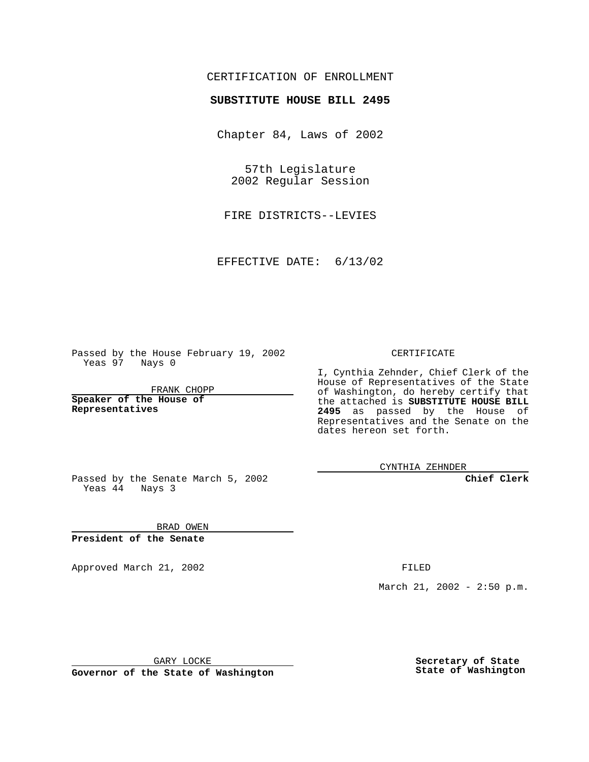## CERTIFICATION OF ENROLLMENT

## **SUBSTITUTE HOUSE BILL 2495**

Chapter 84, Laws of 2002

57th Legislature 2002 Regular Session

FIRE DISTRICTS--LEVIES

EFFECTIVE DATE: 6/13/02

Passed by the House February 19, 2002 Yeas 97 Nays 0

FRANK CHOPP

**Speaker of the House of Representatives**

CERTIFICATE

I, Cynthia Zehnder, Chief Clerk of the House of Representatives of the State of Washington, do hereby certify that the attached is **SUBSTITUTE HOUSE BILL 2495** as passed by the House of Representatives and the Senate on the dates hereon set forth.

CYNTHIA ZEHNDER

**Chief Clerk**

Passed by the Senate March 5, 2002 Yeas  $4\overline{4}$  Nays 3

BRAD OWEN **President of the Senate**

Approved March 21, 2002 **FILED** 

March 21, 2002 - 2:50 p.m.

GARY LOCKE

**Governor of the State of Washington**

**Secretary of State State of Washington**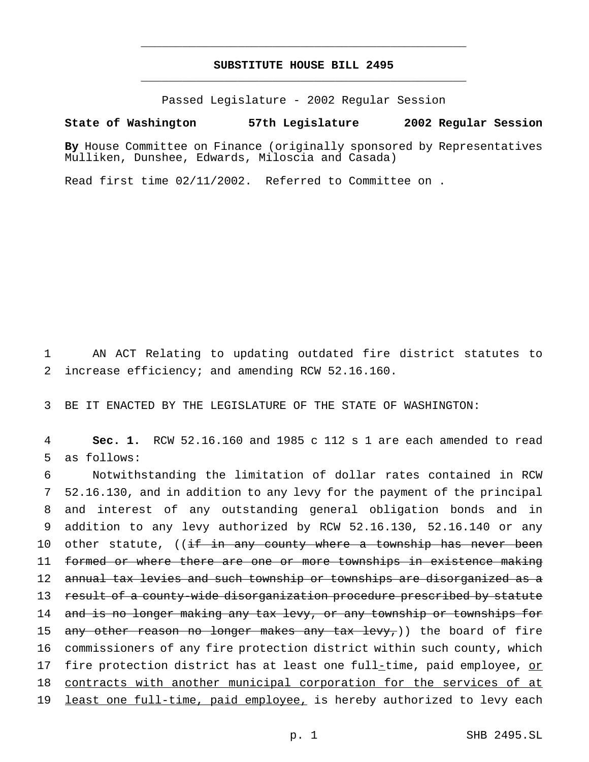## **SUBSTITUTE HOUSE BILL 2495** \_\_\_\_\_\_\_\_\_\_\_\_\_\_\_\_\_\_\_\_\_\_\_\_\_\_\_\_\_\_\_\_\_\_\_\_\_\_\_\_\_\_\_\_\_\_\_

\_\_\_\_\_\_\_\_\_\_\_\_\_\_\_\_\_\_\_\_\_\_\_\_\_\_\_\_\_\_\_\_\_\_\_\_\_\_\_\_\_\_\_\_\_\_\_

Passed Legislature - 2002 Regular Session

## **State of Washington 57th Legislature 2002 Regular Session**

**By** House Committee on Finance (originally sponsored by Representatives Mulliken, Dunshee, Edwards, Miloscia and Casada)

Read first time 02/11/2002. Referred to Committee on .

1 AN ACT Relating to updating outdated fire district statutes to 2 increase efficiency; and amending RCW 52.16.160.

3 BE IT ENACTED BY THE LEGISLATURE OF THE STATE OF WASHINGTON:

4 **Sec. 1.** RCW 52.16.160 and 1985 c 112 s 1 are each amended to read 5 as follows:

6 Notwithstanding the limitation of dollar rates contained in RCW 7 52.16.130, and in addition to any levy for the payment of the principal 8 and interest of any outstanding general obligation bonds and in 9 addition to any levy authorized by RCW 52.16.130, 52.16.140 or any 10 other statute, ((if in any county where a township has never been 11 formed or where there are one or more townships in existence making 12 annual tax levies and such township or townships are disorganized as a 13 result of a county-wide disorganization procedure prescribed by statute 14 and is no longer making any tax levy, or any township or townships for 15 any other reason no longer makes any tax levy,)) the board of fire 16 commissioners of any fire protection district within such county, which 17 fire protection district has at least one full-time, paid employee, or 18 contracts with another municipal corporation for the services of at 19 least one full-time, paid employee, is hereby authorized to levy each